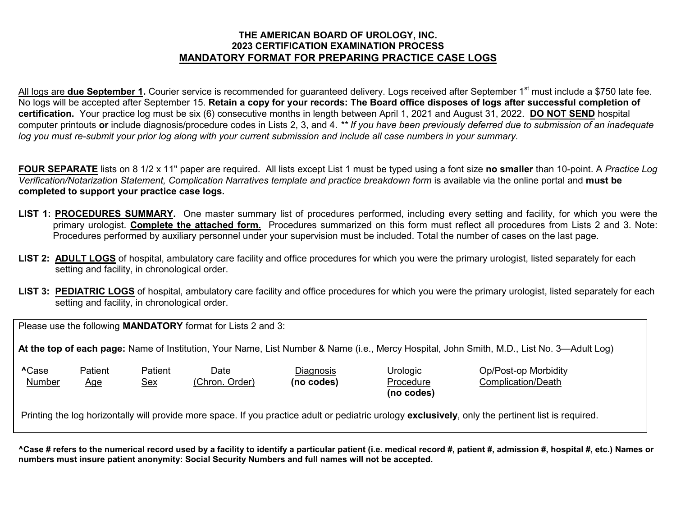## **THE AMERICAN BOARD OF UROLOGY, INC. 2023 CERTIFICATION EXAMINATION PROCESS MANDATORY FORMAT FOR PREPARING PRACTICE CASE LOGS**

All logs are **due September 1.** Courier service is recommended for guaranteed delivery. Logs received after September 1<sup>st</sup> must include a \$750 late fee. No logs will be accepted after September 15. **Retain a copy for your records: The Board office disposes of logs after successful completion of certification.** Your practice log must be six (6) consecutive months in length between April 1, 2021 and August 31, 2022. **DO NOT SEND** hospital computer printouts **or** include diagnosis/procedure codes in Lists 2, 3, and 4. *\*\* If you have been previously deferred due to submission of an inadequate log you must re-submit your prior log along with your current submission and include all case numbers in your summary.* 

**FOUR SEPARATE** lists on 8 1/2 x 11" paper are required. All lists except List 1 must be typed using a font size **no smaller** than 10-point. A *Practice Log Verification/Notarization Statement, Complication Narratives template and practice breakdown form* is available via the online portal and **must be completed to support your practice case logs.**

- **LIST 1: PROCEDURES SUMMARY.** One master summary list of procedures performed, including every setting and facility, for which you were the primary urologist. **Complete the attached form.** Procedures summarized on this form must reflect all procedures from Lists 2 and 3. Note: Procedures performed by auxiliary personnel under your supervision must be included. Total the number of cases on the last page.
- LIST 2: **ADULT LOGS** of hospital, ambulatory care facility and office procedures for which you were the primary urologist, listed separately for each setting and facility, in chronological order.
- **LIST 3: PEDIATRIC LOGS** of hospital, ambulatory care facility and office procedures for which you were the primary urologist, listed separately for each setting and facility, in chronological order.

Please use the following **MANDATORY** format for Lists 2 and 3:

**At the top of each page:** Name of Institution, Your Name, List Number & Name (i.e., Mercy Hospital, John Smith, M.D., List No. 3—Adult Log)

| <b>^Case</b> | Patient | Patient | Date           | <b>Diagnosis</b> | Urologic   |
|--------------|---------|---------|----------------|------------------|------------|
| Number       | Age     | Sex     | (Chron. Order) | (no codes)       | Procedure  |
|              |         |         |                |                  | (no codes) |

**Patient Case Patient Date Diagnosis Op/Post-op Morbidity** edure **Complication/Death** 

Printing the log horizontally will provide more space. If you practice adult or pediatric urology **exclusively**, only the pertinent list is required.

**^Case # refers to the numerical record used by a facility to identify a particular patient (i.e. medical record #, patient #, admission #, hospital #, etc.) Names or numbers must insure patient anonymity: Social Security Numbers and full names will not be accepted.**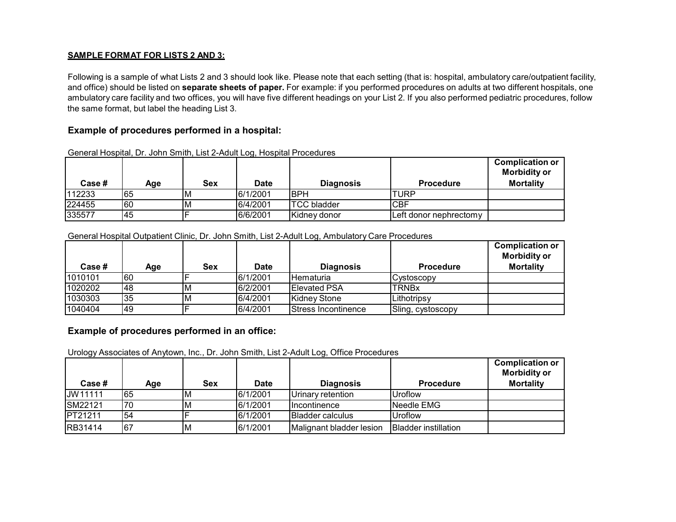### **SAMPLE FORMAT FOR LISTS 2 AND 3:**

Following is a sample of what Lists 2 and 3 should look like. Please note that each setting (that is: hospital, ambulatory care/outpatient facility, and office) should be listed on **separate sheets of paper.** For example: if you performed procedures on adults at two different hospitals, one ambulatory care facility and two offices, you will have five different headings on your List 2. If you also performed pediatric procedures, follow the same format, but label the heading List 3.

## **Example of procedures performed in a hospital:**

| Case # | Age | Sex | ີ<br>Date | <b>Diagnosis</b>   | <b>Procedure</b>       | <b>Complication or</b><br><b>Morbidity or</b><br><b>Mortality</b> |
|--------|-----|-----|-----------|--------------------|------------------------|-------------------------------------------------------------------|
| 112233 | 165 | ΙM  | 6/1/2001  | <b>IBPH</b>        | <b>ITURP</b>           |                                                                   |
| 224455 | 60  | ΙM  | 6/4/2001  | <b>TCC</b> bladder | <b>CBF</b>             |                                                                   |
| 335577 | 145 |     | 6/6/2001  | Kidney donor       | Left donor nephrectomy |                                                                   |

General Hospital, Dr. John Smith, List 2-Adult Log, Hospital Procedures

#### General Hospital Outpatient Clinic, Dr. John Smith, List 2-Adult Log, Ambulatory Care Procedures

| Case #  | Age | <b>Sex</b> | <b>Date</b> | <b>Diagnosis</b>            | <b>Procedure</b>   | <b>Complication or</b><br><b>Morbidity or</b><br><b>Mortality</b> |
|---------|-----|------------|-------------|-----------------------------|--------------------|-------------------------------------------------------------------|
| 1010101 | 60  |            | 6/1/2001    | <b>Hematuria</b>            | <b>ICvstoscopy</b> |                                                                   |
| 1020202 | 48  | M          | 6/2/2001    | <b>Elevated PSA</b>         | <b>ITRNBx</b>      |                                                                   |
| 1030303 | 35  | M          | 6/4/2001    | Kidney Stone                | Lithotripsy        |                                                                   |
| 1040404 | l49 |            | 6/4/2001    | <b>IStress Incontinence</b> | Sling, cystoscopy  |                                                                   |

### **Example of procedures performed in an office:**

Urology Associates of Anytown, Inc., Dr. John Smith, List 2-Adult Log, Office Procedures

| Case #         | Age | <b>Sex</b> | Date     | <b>Diagnosis</b>         | <b>Procedure</b>            | <b>Complication or</b><br><b>Morbidity or</b><br><b>Mortality</b> |
|----------------|-----|------------|----------|--------------------------|-----------------------------|-------------------------------------------------------------------|
| JW11111        | 165 | M          | 6/1/2001 | Urinary retention        | <b>Uroflow</b>              |                                                                   |
| <b>SM22121</b> | 70  | м          | 6/1/2001 | <b>Incontinence</b>      | Needle EMG                  |                                                                   |
| <b>PT21211</b> | 54  |            | 6/1/2001 | <b>Bladder calculus</b>  | <b>Uroflow</b>              |                                                                   |
| RB31414        | 167 | M          | 6/1/2001 | Malignant bladder lesion | <b>Bladder instillation</b> |                                                                   |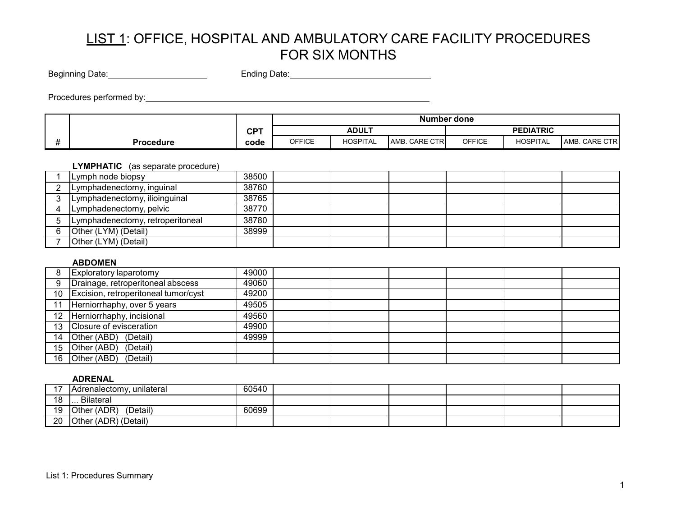Beginning Date: Ending Date:

Procedures performed by:

|           |            |                                                                                                     |                                  |  | Number done |              |  |
|-----------|------------|-----------------------------------------------------------------------------------------------------|----------------------------------|--|-------------|--------------|--|
|           | <b>CPT</b> |                                                                                                     | <b>PEDIATRIC</b><br><b>ADULT</b> |  |             |              |  |
| Procedure | code       | <b>OFFICE</b><br><b>OFFICE</b><br><b>HOSPITAL</b><br><b>HOSPITAL</b><br>. CARE CTRI<br>AMB.<br>AMB. |                                  |  |             | . CARE CTR I |  |

## **LYMPHATIC** (as separate procedure)

| Lymph node biopsy                | 38500 |  |  |  |
|----------------------------------|-------|--|--|--|
| Lymphadenectomy, inguinal        | 38760 |  |  |  |
| Lymphadenectomy, ilioinguinal    | 38765 |  |  |  |
| Lymphadenectomy, pelvic          | 38770 |  |  |  |
| Lymphadenectomy, retroperitoneal | 38780 |  |  |  |
| Other (LYM) (Detail)             | 38999 |  |  |  |
| Other (LYM) (Detail)             |       |  |  |  |

## **ABDOMEN**

| <b>Exploratory laparotomy</b>           | 49000 |  |  |  |
|-----------------------------------------|-------|--|--|--|
| Drainage, retroperitoneal abscess       | 49060 |  |  |  |
| 10 Excision, retroperitoneal tumor/cyst | 49200 |  |  |  |
| Herniorrhaphy, over 5 years             | 49505 |  |  |  |
| 12 Herniorrhaphy, incisional            | 49560 |  |  |  |
| 13 Closure of evisceration              | 49900 |  |  |  |
| 14 Other (ABD) (Detail)                 | 49999 |  |  |  |
| 15 Other (ABD)<br>(Detail)              |       |  |  |  |
| 16 Other (ABD)<br>(Detail)              |       |  |  |  |

#### **ADRENAL**

|    | Adrenalectomy, unilateral      | 60540 |  |  |  |
|----|--------------------------------|-------|--|--|--|
| 18 | <b>Bilateral</b><br>.          |       |  |  |  |
| 19 | <b>Other (ADR)</b><br>(Detail) | 60699 |  |  |  |
| 20 | Other (ADR) (Detail)           |       |  |  |  |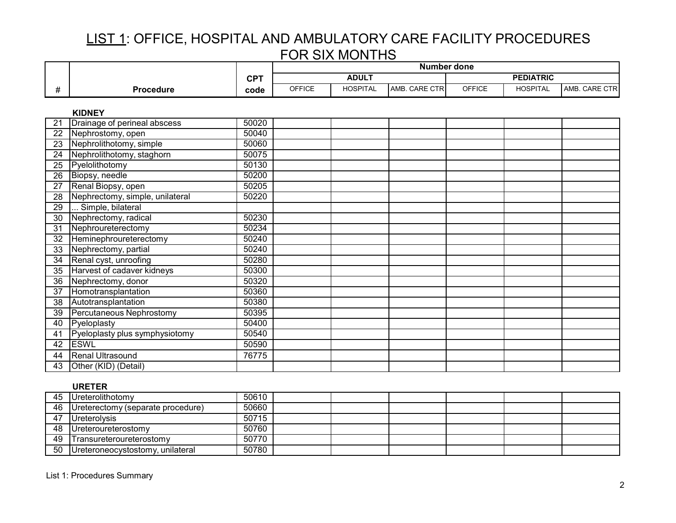|                 |                                 |            |               | <b>Number done</b> |               |               |                  |               |  |  |
|-----------------|---------------------------------|------------|---------------|--------------------|---------------|---------------|------------------|---------------|--|--|
|                 |                                 | <b>CPT</b> |               | <b>ADULT</b>       |               |               | <b>PEDIATRIC</b> |               |  |  |
| #               | <b>Procedure</b>                | code       | <b>OFFICE</b> | <b>HOSPITAL</b>    | AMB. CARE CTR | <b>OFFICE</b> | <b>HOSPITAL</b>  | AMB. CARE CTR |  |  |
|                 | <b>KIDNEY</b>                   |            |               |                    |               |               |                  |               |  |  |
| 21              | Drainage of perineal abscess    | 50020      |               |                    |               |               |                  |               |  |  |
| 22              | Nephrostomy, open               | 50040      |               |                    |               |               |                  |               |  |  |
| 23              | Nephrolithotomy, simple         | 50060      |               |                    |               |               |                  |               |  |  |
| 24              | Nephrolithotomy, staghorn       | 50075      |               |                    |               |               |                  |               |  |  |
| $\overline{25}$ | Pyelolithotomy                  | 50130      |               |                    |               |               |                  |               |  |  |
| $\overline{26}$ | Biopsy, needle                  | 50200      |               |                    |               |               |                  |               |  |  |
| $\overline{27}$ | Renal Biopsy, open              | 50205      |               |                    |               |               |                  |               |  |  |
| 28              | Nephrectomy, simple, unilateral | 50220      |               |                    |               |               |                  |               |  |  |
| 29              | Simple, bilateral               |            |               |                    |               |               |                  |               |  |  |
| 30              | Nephrectomy, radical            | 50230      |               |                    |               |               |                  |               |  |  |
| 31              | Nephroureterectomy              | 50234      |               |                    |               |               |                  |               |  |  |
| 32              | Heminephroureterectomy          | 50240      |               |                    |               |               |                  |               |  |  |
| 33              | Nephrectomy, partial            | 50240      |               |                    |               |               |                  |               |  |  |
| 34              | Renal cyst, unroofing           | 50280      |               |                    |               |               |                  |               |  |  |
| 35              | Harvest of cadaver kidneys      | 50300      |               |                    |               |               |                  |               |  |  |
| 36              | Nephrectomy, donor              | 50320      |               |                    |               |               |                  |               |  |  |
| 37              | Homotransplantation             | 50360      |               |                    |               |               |                  |               |  |  |
| 38              | Autotransplantation             | 50380      |               |                    |               |               |                  |               |  |  |
| 39              | Percutaneous Nephrostomy        | 50395      |               |                    |               |               |                  |               |  |  |
| 40              | Pyeloplasty                     | 50400      |               |                    |               |               |                  |               |  |  |
| 41              | Pyeloplasty plus symphysiotomy  | 50540      |               |                    |               |               |                  |               |  |  |
| 42              | <b>ESWL</b>                     | 50590      |               |                    |               |               |                  |               |  |  |
| 44              | <b>Renal Ultrasound</b>         | 76775      |               |                    |               |               |                  |               |  |  |
| 43              | Other (KID) (Detail)            |            |               |                    |               |               |                  |               |  |  |

### **URETER**

|    | --------                          |       |  |  |  |
|----|-----------------------------------|-------|--|--|--|
| 45 | Ureterolithotomy                  | 50610 |  |  |  |
| 46 | Ureterectomy (separate procedure) | 50660 |  |  |  |
| 47 | <b>I</b> Ureterolysis             | 50715 |  |  |  |
| 48 | <b>Ureteroureterostomy</b>        | 50760 |  |  |  |
| 49 | Transureteroureterostomy          | 50770 |  |  |  |
| 50 | Ureteroneocystostomy, unilateral  | 50780 |  |  |  |

List 1: Procedures Summary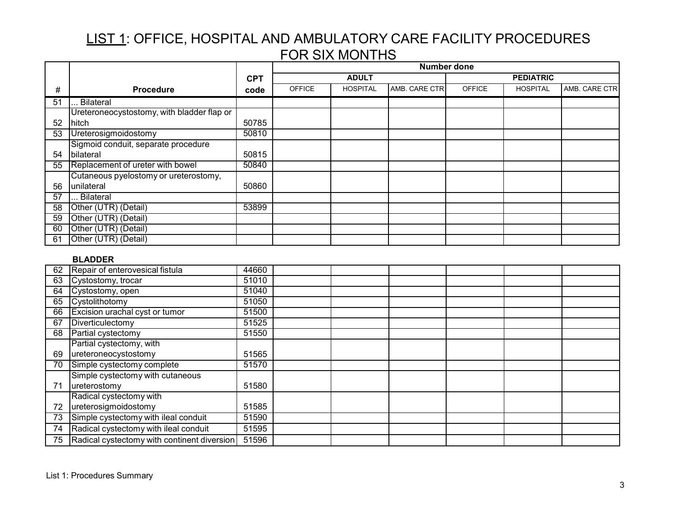|    |                                            |            |               |                 | <b>Number done</b> |               |                  |               |  |
|----|--------------------------------------------|------------|---------------|-----------------|--------------------|---------------|------------------|---------------|--|
|    |                                            | <b>CPT</b> |               | <b>ADULT</b>    |                    |               | <b>PEDIATRIC</b> |               |  |
| #  | <b>Procedure</b>                           | code       | <b>OFFICE</b> | <b>HOSPITAL</b> | AMB. CARE CTR      | <b>OFFICE</b> | <b>HOSPITAL</b>  | AMB. CARE CTR |  |
| 51 | Bilateral                                  |            |               |                 |                    |               |                  |               |  |
|    | Ureteroneocystostomy, with bladder flap or |            |               |                 |                    |               |                  |               |  |
| 52 | hitch                                      | 50785      |               |                 |                    |               |                  |               |  |
| 53 | Ureterosigmoidostomy                       | 50810      |               |                 |                    |               |                  |               |  |
|    | Sigmoid conduit, separate procedure        |            |               |                 |                    |               |                  |               |  |
| 54 | bilateral                                  | 50815      |               |                 |                    |               |                  |               |  |
| 55 | Replacement of ureter with bowel           | 50840      |               |                 |                    |               |                  |               |  |
|    | Cutaneous pyelostomy or ureterostomy,      |            |               |                 |                    |               |                  |               |  |
| 56 | unilateral                                 | 50860      |               |                 |                    |               |                  |               |  |
| 57 | Bilateral                                  |            |               |                 |                    |               |                  |               |  |
| 58 | Other (UTR) (Detail)                       | 53899      |               |                 |                    |               |                  |               |  |
| 59 | Other (UTR) (Detail)                       |            |               |                 |                    |               |                  |               |  |
| 60 | Other (UTR) (Detail)                       |            |               |                 |                    |               |                  |               |  |
| 61 | Other (UTR) (Detail)                       |            |               |                 |                    |               |                  |               |  |

### **BLADDER**

| 62 | Repair of enterovesical fistula             | 44660 |  |  |  |
|----|---------------------------------------------|-------|--|--|--|
| 63 | Cystostomy, trocar                          | 51010 |  |  |  |
| 64 | Cystostomy, open                            | 51040 |  |  |  |
| 65 | Cystolithotomy                              | 51050 |  |  |  |
| 66 | Excision urachal cyst or tumor              | 51500 |  |  |  |
| 67 | Diverticulectomy                            | 51525 |  |  |  |
| 68 | Partial cystectomy                          | 51550 |  |  |  |
|    | Partial cystectomy, with                    |       |  |  |  |
| 69 | ureteroneocystostomy                        | 51565 |  |  |  |
| 70 | Simple cystectomy complete                  | 51570 |  |  |  |
|    | Simple cystectomy with cutaneous            |       |  |  |  |
| 71 | ureterostomy                                | 51580 |  |  |  |
|    | Radical cystectomy with                     |       |  |  |  |
| 72 | ureterosigmoidostomy                        | 51585 |  |  |  |
| 73 | Simple cystectomy with ileal conduit        | 51590 |  |  |  |
| 74 | Radical cystectomy with ileal conduit       | 51595 |  |  |  |
| 75 | Radical cystectomy with continent diversion | 51596 |  |  |  |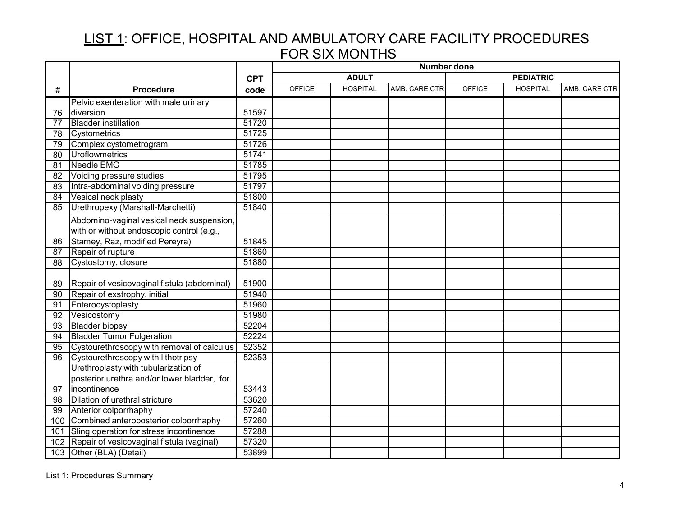|     |                                             |            | <b>Number done</b> |                 |               |               |                  |               |
|-----|---------------------------------------------|------------|--------------------|-----------------|---------------|---------------|------------------|---------------|
|     |                                             | <b>CPT</b> |                    | <b>ADULT</b>    |               |               | <b>PEDIATRIC</b> |               |
| #   | <b>Procedure</b>                            | code       | <b>OFFICE</b>      | <b>HOSPITAL</b> | AMB. CARE CTR | <b>OFFICE</b> | <b>HOSPITAL</b>  | AMB. CARE CTR |
|     | Pelvic exenteration with male urinary       |            |                    |                 |               |               |                  |               |
| 76  | diversion                                   | 51597      |                    |                 |               |               |                  |               |
| 77  | <b>Bladder instillation</b>                 | 51720      |                    |                 |               |               |                  |               |
| 78  | Cystometrics                                | 51725      |                    |                 |               |               |                  |               |
| 79  | Complex cystometrogram                      | 51726      |                    |                 |               |               |                  |               |
| 80  | <b>Uroflowmetrics</b>                       | 51741      |                    |                 |               |               |                  |               |
| 81  | Needle EMG                                  | 51785      |                    |                 |               |               |                  |               |
| 82  | Voiding pressure studies                    | 51795      |                    |                 |               |               |                  |               |
| 83  | Intra-abdominal voiding pressure            | 51797      |                    |                 |               |               |                  |               |
| 84  | Vesical neck plasty                         | 51800      |                    |                 |               |               |                  |               |
| 85  | Urethropexy (Marshall-Marchetti)            | 51840      |                    |                 |               |               |                  |               |
|     | Abdomino-vaginal vesical neck suspension,   |            |                    |                 |               |               |                  |               |
|     | with or without endoscopic control (e.g.,   |            |                    |                 |               |               |                  |               |
| 86  | Stamey, Raz, modified Pereyra)              | 51845      |                    |                 |               |               |                  |               |
| 87  | Repair of rupture                           | 51860      |                    |                 |               |               |                  |               |
| 88  | Cystostomy, closure                         | 51880      |                    |                 |               |               |                  |               |
|     |                                             |            |                    |                 |               |               |                  |               |
| 89  | Repair of vesicovaginal fistula (abdominal) | 51900      |                    |                 |               |               |                  |               |
| 90  | Repair of exstrophy, initial                | 51940      |                    |                 |               |               |                  |               |
| 91  | Enterocystoplasty                           | 51960      |                    |                 |               |               |                  |               |
| 92  | Vesicostomy                                 | 51980      |                    |                 |               |               |                  |               |
| 93  | <b>Bladder biopsy</b>                       | 52204      |                    |                 |               |               |                  |               |
| 94  | <b>Bladder Tumor Fulgeration</b>            | 52224      |                    |                 |               |               |                  |               |
| 95  | Cystourethroscopy with removal of calculus  | 52352      |                    |                 |               |               |                  |               |
| 96  | Cystourethroscopy with lithotripsy          | 52353      |                    |                 |               |               |                  |               |
|     | Urethroplasty with tubularization of        |            |                    |                 |               |               |                  |               |
|     | posterior urethra and/or lower bladder, for |            |                    |                 |               |               |                  |               |
| 97  | incontinence                                | 53443      |                    |                 |               |               |                  |               |
| 98  | Dilation of urethral stricture              | 53620      |                    |                 |               |               |                  |               |
| 99  | Anterior colporrhaphy                       | 57240      |                    |                 |               |               |                  |               |
| 100 | Combined anteroposterior colporrhaphy       | 57260      |                    |                 |               |               |                  |               |
| 101 | Sling operation for stress incontinence     | 57288      |                    |                 |               |               |                  |               |
| 102 | Repair of vesicovaginal fistula (vaginal)   | 57320      |                    |                 |               |               |                  |               |
|     | 103 Other (BLA) (Detail)                    | 53899      |                    |                 |               |               |                  |               |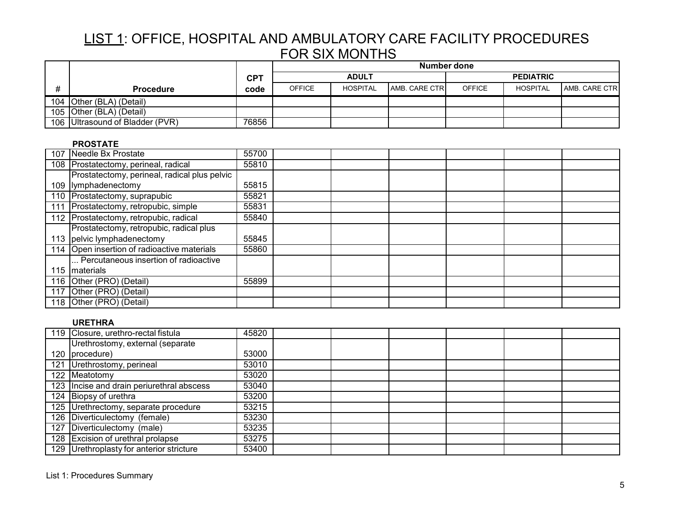|                                 |            | Number done   |                 |               |               |                  |               |  |
|---------------------------------|------------|---------------|-----------------|---------------|---------------|------------------|---------------|--|
|                                 | <b>CPT</b> |               | <b>ADULT</b>    |               |               | <b>PEDIATRIC</b> |               |  |
| <b>Procedure</b>                | code       | <b>OFFICE</b> | <b>HOSPITAL</b> | AMB. CARE CTR | <b>OFFICE</b> | <b>HOSPITAL</b>  | AMB. CARE CTR |  |
| 104 Other (BLA) (Detail)        |            |               |                 |               |               |                  |               |  |
| 105 Other (BLA) (Detail)        |            |               |                 |               |               |                  |               |  |
| 106 Ultrasound of Bladder (PVR) | 76856      |               |                 |               |               |                  |               |  |

### **PROSTATE**

| 107 Needle Bx Prostate                       | 55700 |  |  |  |  |
|----------------------------------------------|-------|--|--|--|--|
| 108 Prostatectomy, perineal, radical         | 55810 |  |  |  |  |
| Prostatectomy, perineal, radical plus pelvic |       |  |  |  |  |
| 109 lymphadenectomy                          | 55815 |  |  |  |  |
| 110 Prostatectomy, suprapubic                | 55821 |  |  |  |  |
| 111 Prostatectomy, retropubic, simple        | 55831 |  |  |  |  |
| 112 Prostatectomy, retropubic, radical       | 55840 |  |  |  |  |
| Prostatectomy, retropubic, radical plus      |       |  |  |  |  |
| 113 pelvic lymphadenectomy                   | 55845 |  |  |  |  |
| 114 Open insertion of radioactive materials  | 55860 |  |  |  |  |
| Percutaneous insertion of radioactive        |       |  |  |  |  |
| 115 Imaterials                               |       |  |  |  |  |
| 116 Other (PRO) (Detail)                     | 55899 |  |  |  |  |
| 117 Other (PRO) (Detail)                     |       |  |  |  |  |
| 118 Other (PRO) (Detail)                     |       |  |  |  |  |

## **URETHRA**

| 119 Closure, urethro-rectal fistula       | 45820 |  |  |  |
|-------------------------------------------|-------|--|--|--|
| Urethrostomy, external (separate          |       |  |  |  |
| 120   procedure)                          | 53000 |  |  |  |
| 121 Urethrostomy, perineal                | 53010 |  |  |  |
| 122 Meatotomy                             | 53020 |  |  |  |
| 123 Incise and drain periurethral abscess | 53040 |  |  |  |
| 124 Biopsy of urethra                     | 53200 |  |  |  |
| 125 Urethrectomy, separate procedure      | 53215 |  |  |  |
| 126 Diverticulectomy (female)             | 53230 |  |  |  |
| 127 Diverticulectomy (male)               | 53235 |  |  |  |
| 128 Excision of urethral prolapse         | 53275 |  |  |  |
| 129 Urethroplasty for anterior stricture  | 53400 |  |  |  |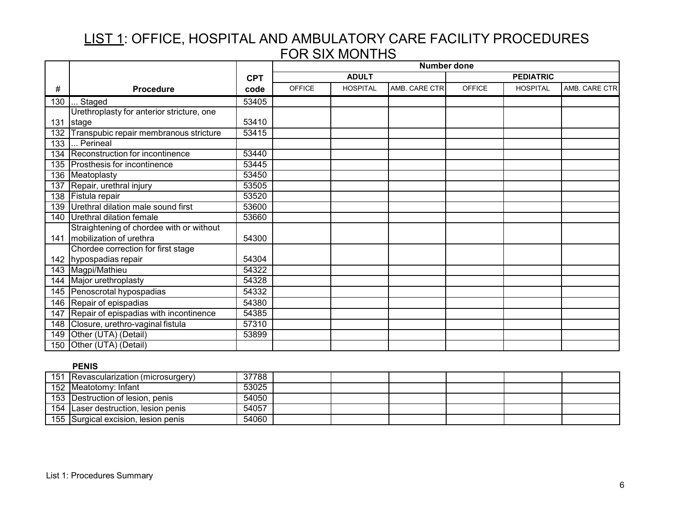|     |                                            |            | <b>Number done</b> |                 |               |               |                  |               |
|-----|--------------------------------------------|------------|--------------------|-----------------|---------------|---------------|------------------|---------------|
|     |                                            | <b>CPT</b> |                    | <b>ADULT</b>    |               |               | <b>PEDIATRIC</b> |               |
| #   | <b>Procedure</b>                           | code       | <b>OFFICE</b>      | <b>HOSPITAL</b> | AMB. CARE CTR | <b>OFFICE</b> | <b>HOSPITAL</b>  | AMB. CARE CTR |
| 130 | Staged                                     | 53405      |                    |                 |               |               |                  |               |
|     | Urethroplasty for anterior stricture, one  |            |                    |                 |               |               |                  |               |
|     | 131 stage                                  | 53410      |                    |                 |               |               |                  |               |
| 132 | Transpubic repair membranous stricture     | 53415      |                    |                 |               |               |                  |               |
| 133 | Perineal                                   |            |                    |                 |               |               |                  |               |
| 134 | Reconstruction for incontinence            | 53440      |                    |                 |               |               |                  |               |
|     | 135 Prosthesis for incontinence            | 53445      |                    |                 |               |               |                  |               |
|     | 136 Meatoplasty                            | 53450      |                    |                 |               |               |                  |               |
| 137 | Repair, urethral injury                    | 53505      |                    |                 |               |               |                  |               |
|     | 138 Fistula repair                         | 53520      |                    |                 |               |               |                  |               |
| 139 | Urethral dilation male sound first         | 53600      |                    |                 |               |               |                  |               |
|     | 140 Urethral dilation female               | 53660      |                    |                 |               |               |                  |               |
|     | Straightening of chordee with or without   |            |                    |                 |               |               |                  |               |
|     | 141   mobilization of urethra              | 54300      |                    |                 |               |               |                  |               |
|     | Chordee correction for first stage         |            |                    |                 |               |               |                  |               |
|     | 142 hypospadias repair                     | 54304      |                    |                 |               |               |                  |               |
|     | 143 Magpi/Mathieu                          | 54322      |                    |                 |               |               |                  |               |
|     | 144 Major urethroplasty                    | 54328      |                    |                 |               |               |                  |               |
|     | 145 Penoscrotal hypospadias                | 54332      |                    |                 |               |               |                  |               |
|     | 146 Repair of epispadias                   | 54380      |                    |                 |               |               |                  |               |
|     | 147 Repair of epispadias with incontinence | 54385      |                    |                 |               |               |                  |               |
|     | 148 Closure, urethro-vaginal fistula       | 57310      |                    |                 |               |               |                  |               |
| 149 | Other (UTA) (Detail)                       | 53899      |                    |                 |               |               |                  |               |
| 150 | Other (UTA) (Detail)                       |            |                    |                 |               |               |                  |               |

## **PENIS**

| 151 Revascularization (microsurgery) | 37788 |  |  |  |
|--------------------------------------|-------|--|--|--|
| 152 Meatotomy: Infant                | 53025 |  |  |  |
| 153 Destruction of lesion, penis     | 54050 |  |  |  |
| 154 Laser destruction, lesion penis  | 54057 |  |  |  |
| 155 Surgical excision, lesion penis  | 54060 |  |  |  |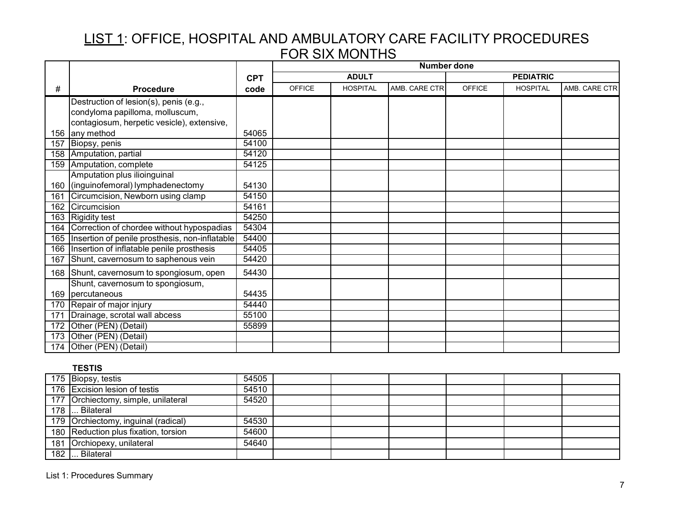|     |                                                      |            | <b>Number done</b> |                 |               |               |                  |               |
|-----|------------------------------------------------------|------------|--------------------|-----------------|---------------|---------------|------------------|---------------|
|     |                                                      | <b>CPT</b> |                    | <b>ADULT</b>    |               |               | <b>PEDIATRIC</b> |               |
| #   | <b>Procedure</b>                                     | code       | <b>OFFICE</b>      | <b>HOSPITAL</b> | AMB. CARE CTR | <b>OFFICE</b> | <b>HOSPITAL</b>  | AMB. CARE CTR |
|     | Destruction of lesion(s), penis (e.g.,               |            |                    |                 |               |               |                  |               |
|     | condyloma papilloma, molluscum,                      |            |                    |                 |               |               |                  |               |
|     | contagiosum, herpetic vesicle), extensive,           |            |                    |                 |               |               |                  |               |
|     | 156 any method                                       | 54065      |                    |                 |               |               |                  |               |
| 157 | Biopsy, penis                                        | 54100      |                    |                 |               |               |                  |               |
| 158 | Amputation, partial                                  | 54120      |                    |                 |               |               |                  |               |
|     | 159 Amputation, complete                             | 54125      |                    |                 |               |               |                  |               |
|     | Amputation plus ilioinguinal                         |            |                    |                 |               |               |                  |               |
|     | 160 (inguinofemoral) lymphadenectomy                 | 54130      |                    |                 |               |               |                  |               |
| 161 | Circumcision, Newborn using clamp                    | 54150      |                    |                 |               |               |                  |               |
| 162 | Circumcision                                         | 54161      |                    |                 |               |               |                  |               |
|     | 163 Rigidity test                                    | 54250      |                    |                 |               |               |                  |               |
|     | 164 Correction of chordee without hypospadias        | 54304      |                    |                 |               |               |                  |               |
|     | 165   Insertion of penile prosthesis, non-inflatable | 54400      |                    |                 |               |               |                  |               |
|     | 166   Insertion of inflatable penile prosthesis      | 54405      |                    |                 |               |               |                  |               |
| 167 | Shunt, cavernosum to saphenous vein                  | 54420      |                    |                 |               |               |                  |               |
|     | 168 Shunt, cavernosum to spongiosum, open            | 54430      |                    |                 |               |               |                  |               |
|     | Shunt, cavernosum to spongiosum,                     |            |                    |                 |               |               |                  |               |
|     | 169   percutaneous                                   | 54435      |                    |                 |               |               |                  |               |
| 170 | Repair of major injury                               | 54440      |                    |                 |               |               |                  |               |
| 171 | Drainage, scrotal wall abcess                        | 55100      |                    |                 |               |               |                  |               |
| 172 | Other (PEN) (Detail)                                 | 55899      |                    |                 |               |               |                  |               |
| 173 | Other (PEN) (Detail)                                 |            |                    |                 |               |               |                  |               |
|     | 174 Other (PEN) (Detail)                             |            |                    |                 |               |               |                  |               |

## **TESTIS**

|     | 175 Biopsy, testis                   | 54505 |  |  |  |
|-----|--------------------------------------|-------|--|--|--|
|     | 176 Excision lesion of testis        | 54510 |  |  |  |
|     | 177 Orchiectomy, simple, unilateral  | 54520 |  |  |  |
|     | 178  Bilateral                       |       |  |  |  |
|     | 179 Orchiectomy, inguinal (radical)  | 54530 |  |  |  |
|     | 180 Reduction plus fixation, torsion | 54600 |  |  |  |
|     | 181 Orchiopexy, unilateral           | 54640 |  |  |  |
| 182 | Bilateral                            |       |  |  |  |

List 1: Procedures Summary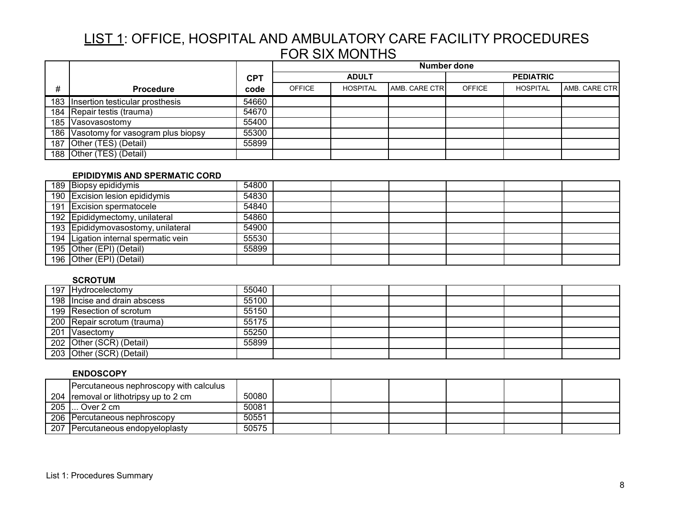|   |                                       |            | Number done   |                 |               |                  |                 |               |  |
|---|---------------------------------------|------------|---------------|-----------------|---------------|------------------|-----------------|---------------|--|
|   |                                       | <b>CPT</b> |               | <b>ADULT</b>    |               | <b>PEDIATRIC</b> |                 |               |  |
| # | <b>Procedure</b>                      | code       | <b>OFFICE</b> | <b>HOSPITAL</b> | AMB. CARE CTR | <b>OFFICE</b>    | <b>HOSPITAL</b> | AMB. CARE CTR |  |
|   | 183 Insertion testicular prosthesis   | 54660      |               |                 |               |                  |                 |               |  |
|   | 184 Repair testis (trauma)            | 54670      |               |                 |               |                  |                 |               |  |
|   | 185 Vasovasostomy                     | 55400      |               |                 |               |                  |                 |               |  |
|   | 186 Vasotomy for vasogram plus biopsy | 55300      |               |                 |               |                  |                 |               |  |
|   | 187 Other (TES) (Detail)              | 55899      |               |                 |               |                  |                 |               |  |
|   | 188 Other (TES) (Detail)              |            |               |                 |               |                  |                 |               |  |

### **EPIDIDYMIS AND SPERMATIC CORD**

| 189 Biopsy epididymis                | 54800 |  |  |  |
|--------------------------------------|-------|--|--|--|
| 190 Excision lesion epididymis       | 54830 |  |  |  |
| 191 Excision spermatocele            | 54840 |  |  |  |
| 192 Epididymectomy, unilateral       | 54860 |  |  |  |
| 193 Epididymovasostomy, unilateral   | 54900 |  |  |  |
| 194 Ligation internal spermatic vein | 55530 |  |  |  |
| 195 Other (EPI) (Detail)             | 55899 |  |  |  |
| 196 Other (EPI) (Detail)             |       |  |  |  |

## **SCROTUM**

| 197 Hydrocelectomy           | 55040 |  |  |  |
|------------------------------|-------|--|--|--|
| 198 Incise and drain abscess | 55100 |  |  |  |
| 199 Resection of scrotum     | 55150 |  |  |  |
| 200 Repair scrotum (trauma)  | 55175 |  |  |  |
| 201 Vasectomy                | 55250 |  |  |  |
| 202 Other (SCR) (Detail)     | 55899 |  |  |  |
| 203 Other (SCR) (Detail)     |       |  |  |  |

### **ENDOSCOPY**

|     | Percutaneous nephroscopy with calculus |       |  |  |  |
|-----|----------------------------------------|-------|--|--|--|
|     | 204 removal or lithotripsy up to 2 cm  | 50080 |  |  |  |
| 205 | … Over 2 cm                            | 50081 |  |  |  |
|     | 206 Percutaneous nephroscopy           | 50551 |  |  |  |
|     | 207 Percutaneous endopyeloplasty       | 50575 |  |  |  |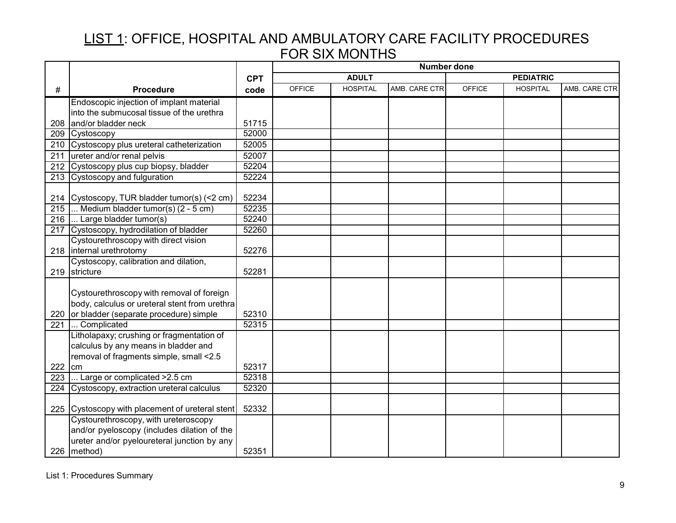|                  |                                                           |                | <b>Number done</b> |                 |               |                  |                 |               |
|------------------|-----------------------------------------------------------|----------------|--------------------|-----------------|---------------|------------------|-----------------|---------------|
|                  |                                                           | <b>CPT</b>     | <b>ADULT</b>       |                 |               | <b>PEDIATRIC</b> |                 |               |
| #                | <b>Procedure</b>                                          | code           | <b>OFFICE</b>      | <b>HOSPITAL</b> | AMB. CARE CTR | <b>OFFICE</b>    | <b>HOSPITAL</b> | AMB. CARE CTR |
|                  | Endoscopic injection of implant material                  |                |                    |                 |               |                  |                 |               |
|                  | into the submucosal tissue of the urethra                 |                |                    |                 |               |                  |                 |               |
| 208              | and/or bladder neck                                       | 51715          |                    |                 |               |                  |                 |               |
| 209              | Cystoscopy                                                | 52000          |                    |                 |               |                  |                 |               |
|                  | 210 Cystoscopy plus ureteral catheterization              | 52005          |                    |                 |               |                  |                 |               |
| 211              | ureter and/or renal pelvis                                | 52007          |                    |                 |               |                  |                 |               |
|                  | 212 Cystoscopy plus cup biopsy, bladder                   | 52204          |                    |                 |               |                  |                 |               |
|                  | 213 Cystoscopy and fulguration                            | 52224          |                    |                 |               |                  |                 |               |
|                  |                                                           |                |                    |                 |               |                  |                 |               |
|                  | 214 Cystoscopy, TUR bladder tumor(s) (<2 cm)              | 52234          |                    |                 |               |                  |                 |               |
| $\overline{215}$ | Medium bladder tumor(s) $(2 - 5$ cm)                      | 52235          |                    |                 |               |                  |                 |               |
|                  | 216  Large bladder tumor(s)                               | 52240          |                    |                 |               |                  |                 |               |
|                  | 217 Cystoscopy, hydrodilation of bladder                  | 52260          |                    |                 |               |                  |                 |               |
|                  | Cystourethroscopy with direct vision                      |                |                    |                 |               |                  |                 |               |
|                  | 218   internal urethrotomy                                | 52276          |                    |                 |               |                  |                 |               |
|                  | Cystoscopy, calibration and dilation,                     |                |                    |                 |               |                  |                 |               |
| 219              | stricture                                                 | 52281          |                    |                 |               |                  |                 |               |
|                  |                                                           |                |                    |                 |               |                  |                 |               |
|                  | Cystourethroscopy with removal of foreign                 |                |                    |                 |               |                  |                 |               |
|                  | body, calculus or ureteral stent from urethra             |                |                    |                 |               |                  |                 |               |
|                  | 220 or bladder (separate procedure) simple<br>Complicated | 52310<br>52315 |                    |                 |               |                  |                 |               |
| 221              | Litholapaxy; crushing or fragmentation of                 |                |                    |                 |               |                  |                 |               |
|                  | calculus by any means in bladder and                      |                |                    |                 |               |                  |                 |               |
|                  | removal of fragments simple, small <2.5                   |                |                    |                 |               |                  |                 |               |
| 222 cm           |                                                           | 52317          |                    |                 |               |                  |                 |               |
| $\overline{223}$ | Large or complicated > 2.5 cm                             | 52318          |                    |                 |               |                  |                 |               |
|                  | 224 Cystoscopy, extraction ureteral calculus              | 52320          |                    |                 |               |                  |                 |               |
|                  |                                                           |                |                    |                 |               |                  |                 |               |
|                  | 225 Cystoscopy with placement of ureteral stent           | 52332          |                    |                 |               |                  |                 |               |
|                  | Cystourethroscopy, with ureteroscopy                      |                |                    |                 |               |                  |                 |               |
|                  | and/or pyeloscopy (includes dilation of the               |                |                    |                 |               |                  |                 |               |
|                  | ureter and/or pyeloureteral junction by any               |                |                    |                 |               |                  |                 |               |
|                  | 226   method)                                             | 52351          |                    |                 |               |                  |                 |               |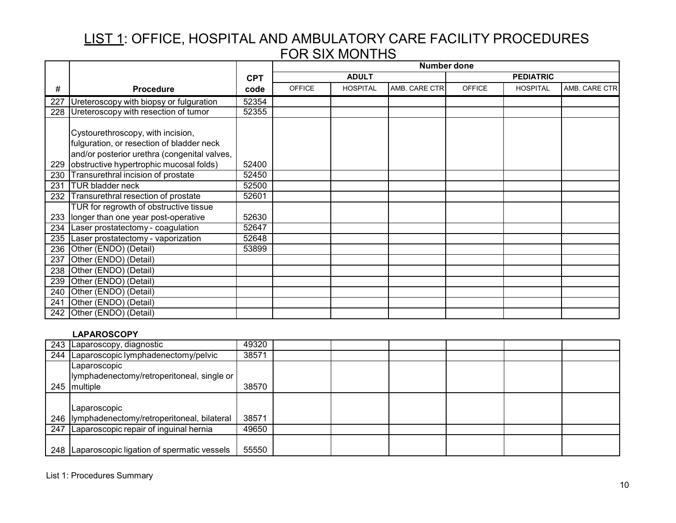|     |                                                                                                                                |            | <b>Number done</b> |                 |               |                  |                 |               |
|-----|--------------------------------------------------------------------------------------------------------------------------------|------------|--------------------|-----------------|---------------|------------------|-----------------|---------------|
|     |                                                                                                                                | <b>CPT</b> | <b>ADULT</b>       |                 |               | <b>PEDIATRIC</b> |                 |               |
| #   | <b>Procedure</b>                                                                                                               | code       | <b>OFFICE</b>      | <b>HOSPITAL</b> | AMB. CARE CTR | OFFICE           | <b>HOSPITAL</b> | AMB. CARE CTR |
| 227 | Ureteroscopy with biopsy or fulguration                                                                                        | 52354      |                    |                 |               |                  |                 |               |
|     | 228 Ureteroscopy with resection of tumor                                                                                       | 52355      |                    |                 |               |                  |                 |               |
|     | Cystourethroscopy, with incision,<br>fulguration, or resection of bladder neck<br>and/or posterior urethra (congenital valves, |            |                    |                 |               |                  |                 |               |
|     | 229 obstructive hypertrophic mucosal folds)                                                                                    | 52400      |                    |                 |               |                  |                 |               |
| 230 | Transurethral incision of prostate                                                                                             | 52450      |                    |                 |               |                  |                 |               |
| 231 | <b>TUR bladder neck</b>                                                                                                        | 52500      |                    |                 |               |                  |                 |               |
| 232 | Transurethral resection of prostate                                                                                            | 52601      |                    |                 |               |                  |                 |               |
|     | TUR for regrowth of obstructive tissue<br>233 longer than one year post-operative                                              | 52630      |                    |                 |               |                  |                 |               |
| 234 | Laser prostatectomy - coagulation                                                                                              | 52647      |                    |                 |               |                  |                 |               |
|     | 235 Laser prostatectomy - vaporization                                                                                         | 52648      |                    |                 |               |                  |                 |               |
| 236 | Other (ENDO) (Detail)                                                                                                          | 53899      |                    |                 |               |                  |                 |               |
| 237 | Other (ENDO) (Detail)                                                                                                          |            |                    |                 |               |                  |                 |               |
| 238 | Other (ENDO) (Detail)                                                                                                          |            |                    |                 |               |                  |                 |               |
| 239 | Other (ENDO) (Detail)                                                                                                          |            |                    |                 |               |                  |                 |               |
| 240 | Other (ENDO) (Detail)                                                                                                          |            |                    |                 |               |                  |                 |               |
| 241 | Other (ENDO) (Detail)                                                                                                          |            |                    |                 |               |                  |                 |               |
|     | 242 Other (ENDO) (Detail)                                                                                                      |            |                    |                 |               |                  |                 |               |

## **LAPAROSCOPY**

| 243 Laparoscopy, diagnostic                      | 49320 |  |  |  |
|--------------------------------------------------|-------|--|--|--|
| 244   Laparoscopic lymphadenectomy/pelvic        | 38571 |  |  |  |
| 'Laparoscopic                                    |       |  |  |  |
| lymphadenectomy/retroperitoneal, single or       |       |  |  |  |
| 245 multiple                                     | 38570 |  |  |  |
|                                                  |       |  |  |  |
| Laparoscopic                                     |       |  |  |  |
| 246  lymphadenectomy/retroperitoneal, bilateral  | 38571 |  |  |  |
| 247 Laparoscopic repair of inguinal hernia       | 49650 |  |  |  |
|                                                  |       |  |  |  |
| 248   Laparoscopic ligation of spermatic vessels | 55550 |  |  |  |